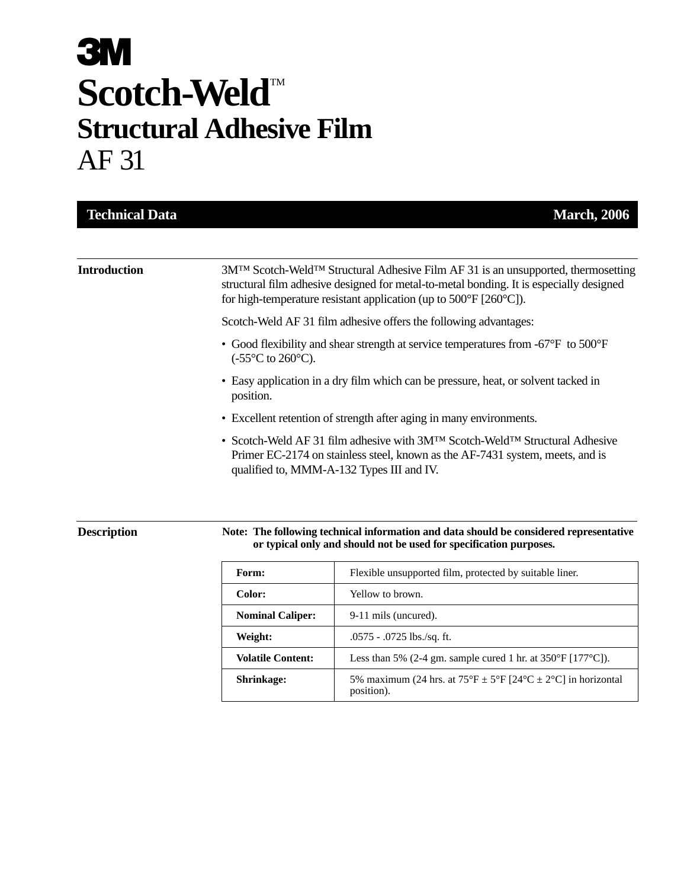| <b>Technical Data</b> | <b>March, 2006</b>                                                                                                                                                                                                                                                                              |
|-----------------------|-------------------------------------------------------------------------------------------------------------------------------------------------------------------------------------------------------------------------------------------------------------------------------------------------|
| <b>Introduction</b>   | 3M <sup>TM</sup> Scotch-Weld <sup>TM</sup> Structural Adhesive Film AF 31 is an unsupported, thermosetting<br>structural film adhesive designed for metal-to-metal bonding. It is especially designed<br>for high-temperature resistant application (up to $500^{\circ}$ F [260 $^{\circ}$ C]). |
|                       | Scotch-Weld AF 31 film adhesive offers the following advantages:                                                                                                                                                                                                                                |
|                       | • Good flexibility and shear strength at service temperatures from -67°F to 500°F<br>$(-55^{\circ}C \text{ to } 260^{\circ}C).$                                                                                                                                                                 |
|                       | • Easy application in a dry film which can be pressure, heat, or solvent tacked in<br>position.                                                                                                                                                                                                 |
|                       | • Excellent retention of strength after aging in many environments.                                                                                                                                                                                                                             |
|                       | • Scotch-Weld AF 31 film adhesive with 3M <sup>TM</sup> Scotch-Weld <sup>TM</sup> Structural Adhesive<br>Primer EC-2174 on stainless steel, known as the AF-7431 system, meets, and is<br>qualified to, MMM-A-132 Types III and IV.                                                             |

#### **Description**

#### **Note: The following technical information and data should be considered representative or typical only and should not be used for specification purposes.**

| Form:                    | Flexible unsupported film, protected by suitable liner.                                          |
|--------------------------|--------------------------------------------------------------------------------------------------|
| Color:                   | Yellow to brown.                                                                                 |
| <b>Nominal Caliper:</b>  | 9-11 mils (uncured).                                                                             |
| Weight:                  | $.0575 - .0725$ lbs./sq. ft.                                                                     |
| <b>Volatile Content:</b> | Less than 5% (2-4 gm. sample cured 1 hr. at $350^{\circ}F$ [177 $^{\circ}C$ ]).                  |
| <b>Shrinkage:</b>        | 5% maximum (24 hrs. at $75^{\circ}F \pm 5^{\circ}F$ [24°C $\pm$ 2°C] in horizontal<br>position). |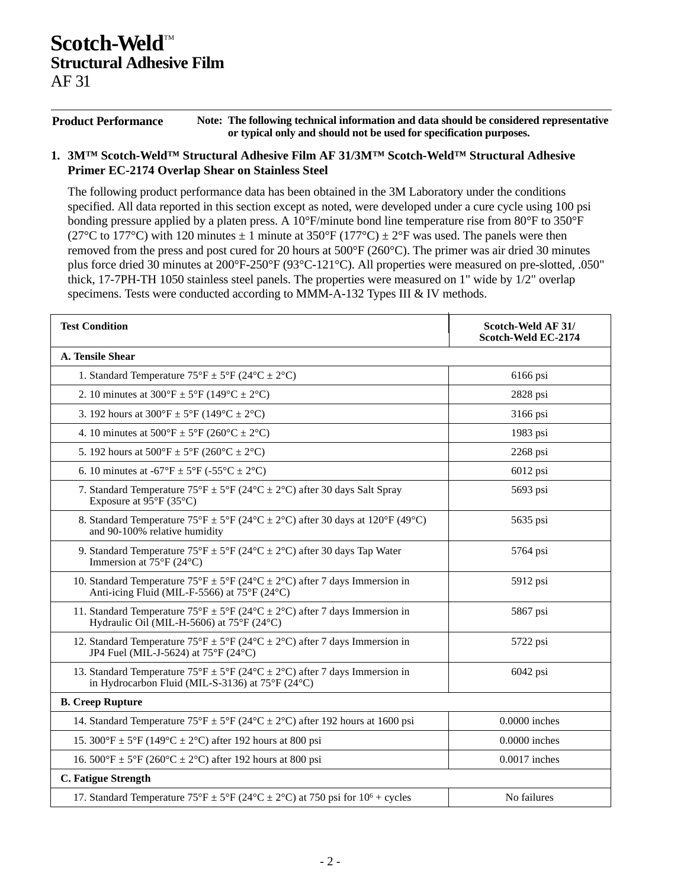**Product Performance Note: The following technical information and data should be considered representative or typical only and should not be used for specification purposes.**

#### **1. 3M™ Scotch-Weld™ Structural Adhesive Film AF 31/3M™ Scotch-Weld™ Structural Adhesive Primer EC-2174 Overlap Shear on Stainless Steel**

The following product performance data has been obtained in the 3M Laboratory under the conditions specified. All data reported in this section except as noted, were developed under a cure cycle using 100 psi bonding pressure applied by a platen press. A 10°F/minute bond line temperature rise from 80°F to 350°F (27°C to 177°C) with 120 minutes  $\pm$  1 minute at 350°F (177°C)  $\pm$  2°F was used. The panels were then removed from the press and post cured for 20 hours at 500°F (260°C). The primer was air dried 30 minutes plus force dried 30 minutes at 200°F-250°F (93°C-121°C). All properties were measured on pre-slotted, .050" thick, 17-7PH-TH 1050 stainless steel panels. The properties were measured on 1" wide by 1/2" overlap specimens. Tests were conducted according to MMM-A-132 Types III & IV methods.

| <b>Test Condition</b>                                                                                                                                                    | Scotch-Weld AF 31/<br>Scotch-Weld EC-2174 |
|--------------------------------------------------------------------------------------------------------------------------------------------------------------------------|-------------------------------------------|
| A. Tensile Shear                                                                                                                                                         |                                           |
| 1. Standard Temperature $75^{\circ}F \pm 5^{\circ}F (24^{\circ}C \pm 2^{\circ}C)$                                                                                        | 6166 psi                                  |
| 2. 10 minutes at $300^{\circ}F \pm 5^{\circ}F (149^{\circ}C \pm 2^{\circ}C)$                                                                                             | 2828 psi                                  |
| 3. 192 hours at $300^{\circ}F \pm 5^{\circ}F (149^{\circ}C \pm 2^{\circ}C)$                                                                                              | 3166 psi                                  |
| 4. 10 minutes at $500^{\circ}F \pm 5^{\circ}F (260^{\circ}C \pm 2^{\circ}C)$                                                                                             | 1983 psi                                  |
| 5. 192 hours at $500^{\circ}F \pm 5^{\circ}F (260^{\circ}C \pm 2^{\circ}C)$                                                                                              | 2268 psi                                  |
| 6. 10 minutes at -67°F $\pm$ 5°F (-55°C $\pm$ 2°C)                                                                                                                       | 6012 psi                                  |
| 7. Standard Temperature $75^{\circ}F \pm 5^{\circ}F (24^{\circ}C \pm 2^{\circ}C)$ after 30 days Salt Spray<br>Exposure at $95^{\circ}F(35^{\circ}C)$                     | 5693 psi                                  |
| 8. Standard Temperature $75^{\circ}F \pm 5^{\circ}F (24^{\circ}C \pm 2^{\circ}C)$ after 30 days at 120°F (49°C)<br>and 90-100% relative humidity                         | 5635 psi                                  |
| 9. Standard Temperature $75^{\circ}F \pm 5^{\circ}F (24^{\circ}C \pm 2^{\circ}C)$ after 30 days Tap Water<br>Immersion at $75^{\circ}$ F (24 $^{\circ}$ C)               | 5764 psi                                  |
| 10. Standard Temperature $75^{\circ}F \pm 5^{\circ}F (24^{\circ}C \pm 2^{\circ}C)$ after 7 days Immersion in<br>Anti-icing Fluid (MIL-F-5566) at 75°F (24°C)             | 5912 psi                                  |
| 11. Standard Temperature $75^{\circ}F \pm 5^{\circ}F (24^{\circ}C \pm 2^{\circ}C)$ after 7 days Immersion in<br>Hydraulic Oil (MIL-H-5606) at $75^{\circ}F(24^{\circ}C)$ | 5867 psi                                  |
| 12. Standard Temperature $75^{\circ}F \pm 5^{\circ}F (24^{\circ}C \pm 2^{\circ}C)$ after 7 days Immersion in<br>JP4 Fuel (MIL-J-5624) at $75^{\circ}F(24^{\circ}C)$      | 5722 psi                                  |
| 13. Standard Temperature $75^{\circ}F \pm 5^{\circ}F (24^{\circ}C \pm 2^{\circ}C)$ after 7 days Immersion in<br>in Hydrocarbon Fluid (MIL-S-3136) at 75°F (24°C)         | 6042 psi                                  |
| <b>B.</b> Creep Rupture                                                                                                                                                  |                                           |
| 14. Standard Temperature $75^{\circ}F \pm 5^{\circ}F (24^{\circ}C \pm 2^{\circ}C)$ after 192 hours at 1600 psi                                                           | $0.0000$ inches                           |
| 15. 300°F ± 5°F (149°C ± 2°C) after 192 hours at 800 psi                                                                                                                 | $0.0000$ inches                           |
| 16. $500^{\circ}F \pm 5^{\circ}F (260^{\circ}C \pm 2^{\circ}C)$ after 192 hours at 800 psi                                                                               | $0.0017$ inches                           |
| <b>C. Fatigue Strength</b>                                                                                                                                               |                                           |
| 17. Standard Temperature $75^{\circ}F \pm 5^{\circ}F (24^{\circ}C \pm 2^{\circ}C)$ at 750 psi for $10^6$ + cycles                                                        | No failures                               |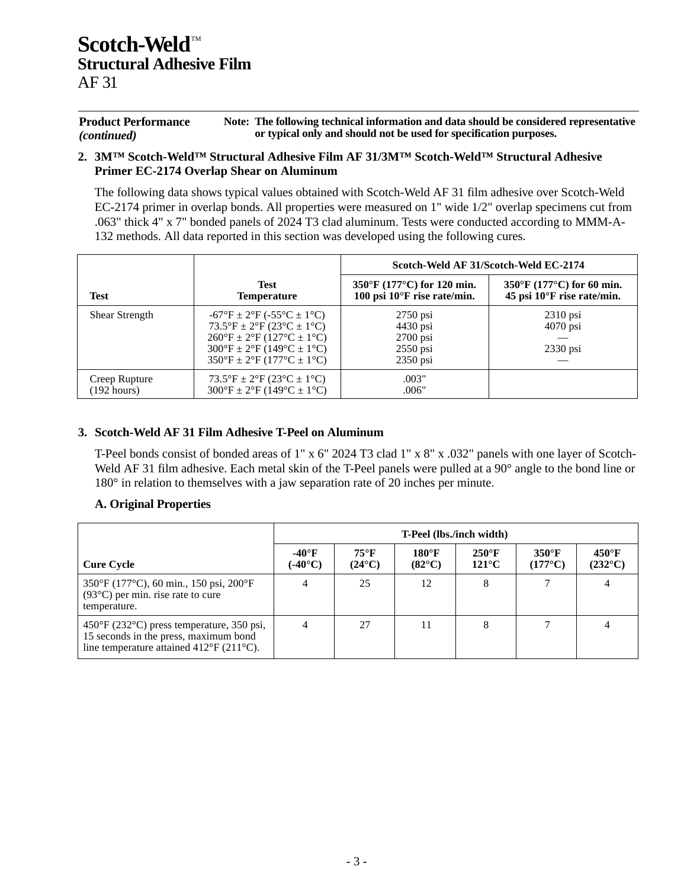#### **Product Performance** *(continued)* **Note: The following technical information and data should be considered representative or typical only and should not be used for specification purposes.**

#### **2. 3M™ Scotch-Weld™ Structural Adhesive Film AF 31/3M™ Scotch-Weld™ Structural Adhesive Primer EC-2174 Overlap Shear on Aluminum**

The following data shows typical values obtained with Scotch-Weld AF 31 film adhesive over Scotch-Weld EC-2174 primer in overlap bonds. All properties were measured on 1" wide 1/2" overlap specimens cut from .063" thick 4" x 7" bonded panels of 2024 T3 clad aluminum. Tests were conducted according to MMM-A-132 methods. All data reported in this section was developed using the following cures.

|                       |                                                                                                                                                                                                                                                                                                                         | Scotch-Weld AF 31/Scotch-Weld EC-2174                            |                                                |  |  |  |  |
|-----------------------|-------------------------------------------------------------------------------------------------------------------------------------------------------------------------------------------------------------------------------------------------------------------------------------------------------------------------|------------------------------------------------------------------|------------------------------------------------|--|--|--|--|
| <b>Test</b>           | <b>Test</b>                                                                                                                                                                                                                                                                                                             | $350^{\circ}$ F (177 $^{\circ}$ C) for 120 min.                  | $350^{\circ}$ F (177 $^{\circ}$ C) for 60 min. |  |  |  |  |
|                       | <b>Temperature</b>                                                                                                                                                                                                                                                                                                      | 100 psi $10^{\circ}$ F rise rate/min.                            | 45 psi $10^{\circ}$ F rise rate/min.           |  |  |  |  |
| <b>Shear Strength</b> | $-67^{\circ}F \pm 2^{\circ}F (-55^{\circ}C \pm 1^{\circ}C)$<br>$73.5^{\circ}F \pm 2^{\circ}F (23^{\circ}C \pm 1^{\circ}C)$<br>$260^{\circ}F \pm 2^{\circ}F (127^{\circ}C \pm 1^{\circ}C)$<br>$300^{\circ}F \pm 2^{\circ}F (149^{\circ}C \pm 1^{\circ}C)$<br>$350^{\circ}F \pm 2^{\circ}F (177^{\circ}C \pm 1^{\circ}C)$ | $2750$ psi<br>4430 psi<br>$2700$ psi<br>$2550$ psi<br>$2350$ psi | $2310$ psi<br>$4070$ psi<br>$2330$ psi         |  |  |  |  |
| Creep Rupture         | $73.5^{\circ}F \pm 2^{\circ}F (23^{\circ}C \pm 1^{\circ}C)$                                                                                                                                                                                                                                                             | .003"                                                            |                                                |  |  |  |  |
| $(192 \text{ hours})$ | $300^{\circ}F \pm 2^{\circ}F (149^{\circ}C \pm 1^{\circ}C)$                                                                                                                                                                                                                                                             | .006"                                                            |                                                |  |  |  |  |

#### **3. Scotch-Weld AF 31 Film Adhesive T-Peel on Aluminum**

T-Peel bonds consist of bonded areas of 1" x 6" 2024 T3 clad 1" x 8" x .032" panels with one layer of Scotch-Weld AF 31 film adhesive. Each metal skin of the T-Peel panels were pulled at a 90° angle to the bond line or 180° in relation to themselves with a jaw separation rate of 20 inches per minute.

#### **A. Original Properties**

|                                                                                                                                                                     | <b>T-Peel (lbs./inch width)</b>   |                                   |                                  |                                    |                                   |                                     |  |
|---------------------------------------------------------------------------------------------------------------------------------------------------------------------|-----------------------------------|-----------------------------------|----------------------------------|------------------------------------|-----------------------------------|-------------------------------------|--|
| <b>Cure Cycle</b>                                                                                                                                                   | $-40^\circ F$<br>$(-40^{\circ}C)$ | $75^{\circ}$ F<br>$(24^{\circ}C)$ | $180^\circ F$<br>$(82^{\circ}C)$ | $250^{\circ}$ F<br>$121^{\circ}$ C | $350^\circ F$<br>$(177^{\circ}C)$ | $450^{\circ}$ F<br>$(232^{\circ}C)$ |  |
| 350°F (177°C), 60 min., 150 psi, 200°F<br>$(93^{\circ}C)$ per min. rise rate to cure<br>temperature.                                                                | 4                                 | 25                                | 12                               | 8                                  |                                   | 4                                   |  |
| $450^{\circ}$ F (232 $^{\circ}$ C) press temperature, 350 psi,<br>15 seconds in the press, maximum bond<br>line temperature attained $412^{\circ}F(211^{\circ}C)$ . | 4                                 | 27                                | 11                               | 8                                  |                                   |                                     |  |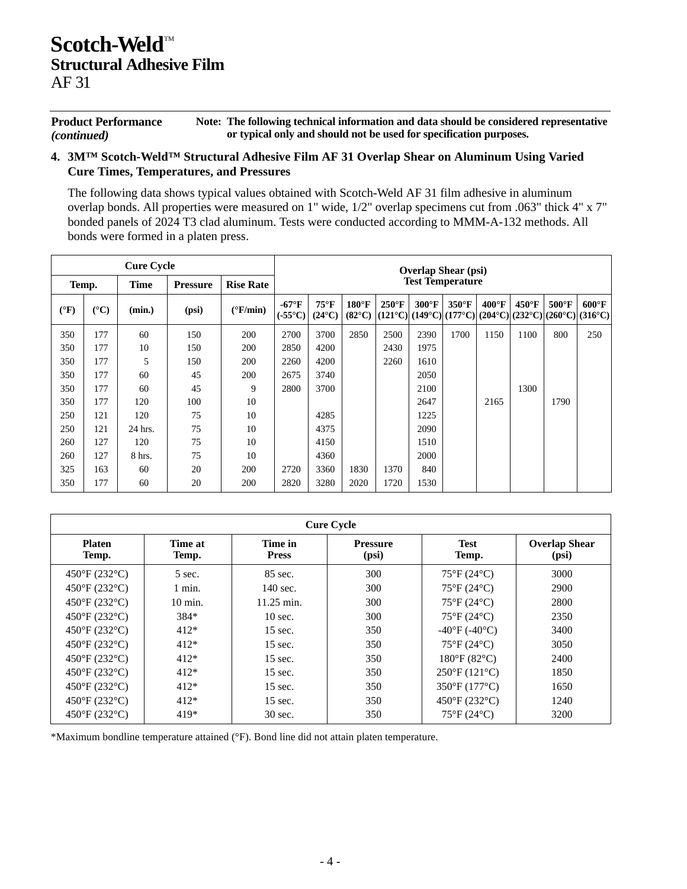**Product Performance** *(continued)* **Note: The following technical information and data should be considered representative or typical only and should not be used for specification purposes.**

#### **4. 3M™ Scotch-Weld™ Structural Adhesive Film AF 31 Overlap Shear on Aluminum Using Varied Cure Times, Temperatures, and Pressures**

The following data shows typical values obtained with Scotch-Weld AF 31 film adhesive in aluminum overlap bonds. All properties were measured on 1" wide, 1/2" overlap specimens cut from .063" thick 4" x 7" bonded panels of 2024 T3 clad aluminum. Tests were conducted according to MMM-A-132 methods. All bonds were formed in a platen press.

| <b>Cure Cycle</b> |                       |             |                 |                   |                                   |                                   |                                  |                 | <b>Overlap Shear (psi)</b> |                 |                 |                                                                                                                                           |                 |                 |
|-------------------|-----------------------|-------------|-----------------|-------------------|-----------------------------------|-----------------------------------|----------------------------------|-----------------|----------------------------|-----------------|-----------------|-------------------------------------------------------------------------------------------------------------------------------------------|-----------------|-----------------|
|                   | Temp.                 | <b>Time</b> | <b>Pressure</b> | <b>Rise Rate</b>  |                                   | <b>Test Temperature</b>           |                                  |                 |                            |                 |                 |                                                                                                                                           |                 |                 |
| $({}^{\circ}F)$   | $({}^{\circ}{\rm C})$ | (min.)      | (psi)           | $(^{\circ}F/min)$ | $-67^\circ F$<br>$(.55^{\circ}C)$ | $75^{\circ}$ F<br>$(24^{\circ}C)$ | $180^\circ F$<br>$(82^{\circ}C)$ | $250^{\circ}$ F | $300^{\circ}$ F            | $350^{\circ}$ F | $400^{\circ}$ F | $450^{\circ}$ F<br>$(121^{\circ}C)$ $(149^{\circ}C)$ $(177^{\circ}C)$ $(204^{\circ}C)$ $(232^{\circ}C)$ $(260^{\circ}C)$ $(316^{\circ}C)$ | $500^{\circ}$ F | $600^{\circ}$ F |
| 350               | 177                   | 60          | 150             | 200               | 2700                              | 3700                              | 2850                             | 2500            | 2390                       | 1700            | 1150            | 1100                                                                                                                                      | 800             | 250             |
| 350               | 177                   | 10          | 150             | <b>200</b>        | 2850                              | 4200                              |                                  | 2430            | 1975                       |                 |                 |                                                                                                                                           |                 |                 |
| 350               | 177                   | 5           | 150             | <b>200</b>        | 2260                              | 4200                              |                                  | 2260            | 1610                       |                 |                 |                                                                                                                                           |                 |                 |
| 350               | 177                   | 60          | 45              | 200               | 2675                              | 3740                              |                                  |                 | 2050                       |                 |                 |                                                                                                                                           |                 |                 |
| 350               | 177                   | 60          | 45              | 9                 | 2800                              | 3700                              |                                  |                 | 2100                       |                 |                 | 1300                                                                                                                                      |                 |                 |
| 350               | 177                   | 120         | 100             | 10                |                                   |                                   |                                  |                 | 2647                       |                 | 2165            |                                                                                                                                           | 1790            |                 |
| 250               | 121                   | 120         | 75              | 10                |                                   | 4285                              |                                  |                 | 1225                       |                 |                 |                                                                                                                                           |                 |                 |
| 250               | 121                   | 24 hrs.     | 75              | 10                |                                   | 4375                              |                                  |                 | 2090                       |                 |                 |                                                                                                                                           |                 |                 |
| 260               | 127                   | 120         | 75              | 10                |                                   | 4150                              |                                  |                 | 1510                       |                 |                 |                                                                                                                                           |                 |                 |
| 260               | 127                   | 8 hrs.      | 75              | 10                |                                   | 4360                              |                                  |                 | 2000                       |                 |                 |                                                                                                                                           |                 |                 |
| 325               | 163                   | 60          | 20              | <b>200</b>        | 2720                              | 3360                              | 1830                             | 1370            | 840                        |                 |                 |                                                                                                                                           |                 |                 |
| 350               | 177                   | 60          | 20              | 200               | 2820                              | 3280                              | 2020                             | 1720            | 1530                       |                 |                 |                                                                                                                                           |                 |                 |

| <b>Cure Cycle</b>                  |                    |                         |                          |                                  |                               |  |  |  |  |
|------------------------------------|--------------------|-------------------------|--------------------------|----------------------------------|-------------------------------|--|--|--|--|
| <b>Platen</b><br>Temp.             | Time at<br>Temp.   | Time in<br><b>Press</b> | <b>Pressure</b><br>(psi) | <b>Test</b><br>Temp.             | <b>Overlap Shear</b><br>(psi) |  |  |  |  |
| $450^{\circ}F(232^{\circ}C)$       | $5 \text{ sec.}$   | 85 sec.                 | 300                      | $75^{\circ}F(24^{\circ}C)$       | 3000                          |  |  |  |  |
| $450^{\circ}F(232^{\circ}C)$       | 1 min.             | $140 \text{ sec.}$      | 300                      | $75^{\circ}F(24^{\circ}C)$       | 2900                          |  |  |  |  |
| 450°F (232°C)                      | $10 \text{ min}$ . | 11.25 min.              | 300                      | $75^{\circ}F(24^{\circ}C)$       | 2800                          |  |  |  |  |
| $450^{\circ}F(232^{\circ}C)$       | 384*               | $10 \text{ sec.}$       | 300                      | $75^{\circ}$ F (24 $^{\circ}$ C) | 2350                          |  |  |  |  |
| 450°F (232°C)                      | $412*$             | $15 \text{ sec.}$       | 350                      | $-40^{\circ}F(-40^{\circ}C)$     | 3400                          |  |  |  |  |
| $450^{\circ}F(232^{\circ}C)$       | $412*$             | 15 sec.                 | 350                      | $75^{\circ}F(24^{\circ}C)$       | 3050                          |  |  |  |  |
| 450°F (232°C)                      | $412*$             | $15 \text{ sec.}$       | 350                      | $180^{\circ}F(82^{\circ}C)$      | 2400                          |  |  |  |  |
| 450°F (232°C)                      | $412*$             | $15 \text{ sec.}$       | 350                      | $250^{\circ}F(121^{\circ}C)$     | 1850                          |  |  |  |  |
| 450°F (232°C)                      | $412*$             | $15 \text{ sec.}$       | 350                      | 350°F (177°C)                    | 1650                          |  |  |  |  |
| $450^{\circ}F(232^{\circ}C)$       | $412*$             | 15 sec.                 | 350                      | $450^{\circ}F(232^{\circ}C)$     | 1240                          |  |  |  |  |
| $450^{\circ}$ F (232 $^{\circ}$ C) | 419*               | 30 sec.                 | 350                      | $75^{\circ}F(24^{\circ}C)$       | 3200                          |  |  |  |  |

\*Maximum bondline temperature attained (°F). Bond line did not attain platen temperature.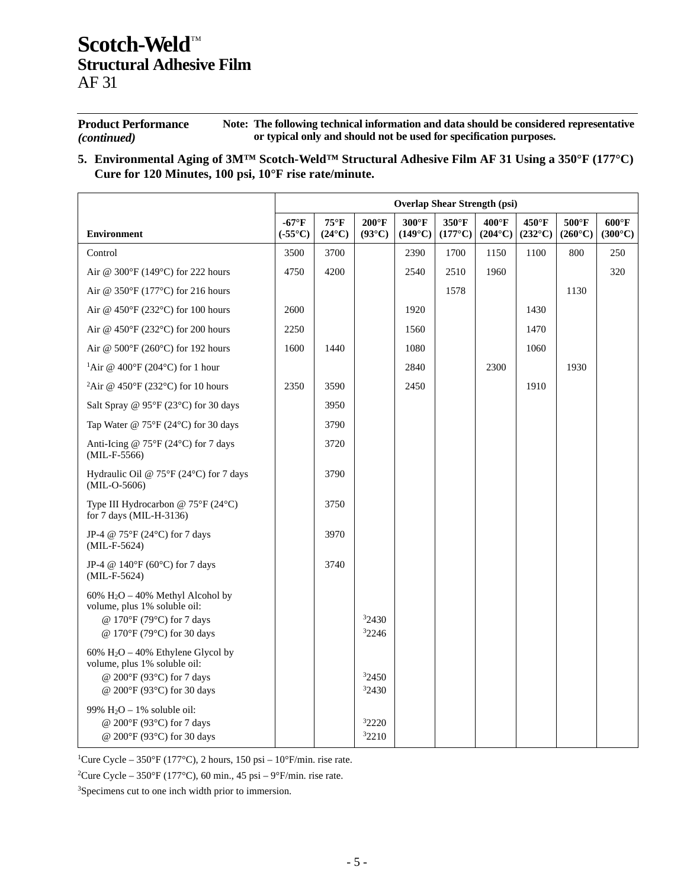| <b>Product Performance</b> | Note: The following technical information and data should be considered representative |
|----------------------------|----------------------------------------------------------------------------------------|
| <i>(continued)</i>         | or typical only and should not be used for specification purposes.                     |

**5. Environmental Aging of 3M™ Scotch-Weld™ Structural Adhesive Film AF 31 Using a 350°F (177°C) Cure for 120 Minutes, 100 psi, 10°F rise rate/minute.**

|                                                                                                                                            | <b>Overlap Shear Strength (psi)</b> |                                   |                                    |                                   |                           |                                     |                           |                                     |                                     |
|--------------------------------------------------------------------------------------------------------------------------------------------|-------------------------------------|-----------------------------------|------------------------------------|-----------------------------------|---------------------------|-------------------------------------|---------------------------|-------------------------------------|-------------------------------------|
| <b>Environment</b>                                                                                                                         | $-67^{\circ}$ F<br>$(-55^{\circ}C)$ | $75^{\circ}$ F<br>$(24^{\circ}C)$ | $200^{\circ}$ F<br>$(93^{\circ}C)$ | $300^\circ F$<br>$(149^{\circ}C)$ | 350°F<br>$(177^{\circ}C)$ | $400^{\circ}$ F<br>$(204^{\circ}C)$ | 450°F<br>$(232^{\circ}C)$ | $500^{\circ}$ F<br>$(260^{\circ}C)$ | $600^{\circ}$ F<br>$(300^{\circ}C)$ |
| Control                                                                                                                                    | 3500                                | 3700                              |                                    | 2390                              | 1700                      | 1150                                | 1100                      | 800                                 | 250                                 |
| Air @ $300^{\circ}$ F (149 $^{\circ}$ C) for 222 hours                                                                                     | 4750                                | 4200                              |                                    | 2540                              | 2510                      | 1960                                |                           |                                     | 320                                 |
| Air @ $350^{\circ}$ F (177 $^{\circ}$ C) for 216 hours                                                                                     |                                     |                                   |                                    |                                   | 1578                      |                                     |                           | 1130                                |                                     |
| Air @ 450°F (232°C) for 100 hours                                                                                                          | 2600                                |                                   |                                    | 1920                              |                           |                                     | 1430                      |                                     |                                     |
| Air @ $450^{\circ}$ F (232 $^{\circ}$ C) for 200 hours                                                                                     | 2250                                |                                   |                                    | 1560                              |                           |                                     | 1470                      |                                     |                                     |
| Air @ $500^{\circ}$ F (260 $^{\circ}$ C) for 192 hours                                                                                     | 1600                                | 1440                              |                                    | 1080                              |                           |                                     | 1060                      |                                     |                                     |
| <sup>1</sup> Air @ 400°F (204°C) for 1 hour                                                                                                |                                     |                                   |                                    | 2840                              |                           | 2300                                |                           | 1930                                |                                     |
| <sup>2</sup> Air @ 450°F (232°C) for 10 hours                                                                                              | 2350                                | 3590                              |                                    | 2450                              |                           |                                     | 1910                      |                                     |                                     |
| Salt Spray @ $95^{\circ}F(23^{\circ}C)$ for 30 days                                                                                        |                                     | 3950                              |                                    |                                   |                           |                                     |                           |                                     |                                     |
| Tap Water @ $75^{\circ}F(24^{\circ}C)$ for 30 days                                                                                         |                                     | 3790                              |                                    |                                   |                           |                                     |                           |                                     |                                     |
| Anti-Icing @ $75^{\circ}F(24^{\circ}C)$ for 7 days<br>$(MIL-F-5566)$                                                                       |                                     | 3720                              |                                    |                                   |                           |                                     |                           |                                     |                                     |
| Hydraulic Oil @ $75^{\circ}F(24^{\circ}C)$ for 7 days<br>$(MIL-O-5606)$                                                                    |                                     | 3790                              |                                    |                                   |                           |                                     |                           |                                     |                                     |
| Type III Hydrocarbon @ 75°F (24°C)<br>for 7 days (MIL-H-3136)                                                                              |                                     | 3750                              |                                    |                                   |                           |                                     |                           |                                     |                                     |
| JP-4 @ 75°F (24°C) for 7 days<br>(MIL-F-5624)                                                                                              |                                     | 3970                              |                                    |                                   |                           |                                     |                           |                                     |                                     |
| JP-4 @ $140^{\circ}$ F (60 $^{\circ}$ C) for 7 days<br>(MIL-F-5624)                                                                        |                                     | 3740                              |                                    |                                   |                           |                                     |                           |                                     |                                     |
| $60\%$ H <sub>2</sub> O – 40% Methyl Alcohol by<br>volume, plus 1% soluble oil:<br>@ 170°F (79°C) for 7 days<br>@ 170°F (79°C) for 30 days |                                     |                                   | 32430<br>32246                     |                                   |                           |                                     |                           |                                     |                                     |
| 60% $H_2O - 40%$ Ethylene Glycol by<br>volume, plus 1% soluble oil:<br>@ 200°F (93°C) for 7 days<br>@ 200°F (93°C) for 30 days             |                                     |                                   | 32450<br>32430                     |                                   |                           |                                     |                           |                                     |                                     |
| 99% $H_2O - 1%$ soluble oil:<br>@ 200°F (93°C) for 7 days<br>@ 200°F (93°C) for 30 days                                                    |                                     |                                   | 32220<br>32210                     |                                   |                           |                                     |                           |                                     |                                     |

<sup>1</sup>Cure Cycle – 350°F (177°C), 2 hours, 150 psi – 10°F/min. rise rate.

<sup>2</sup>Cure Cycle – 350°F (177°C), 60 min., 45 psi – 9°F/min. rise rate.

3Specimens cut to one inch width prior to immersion.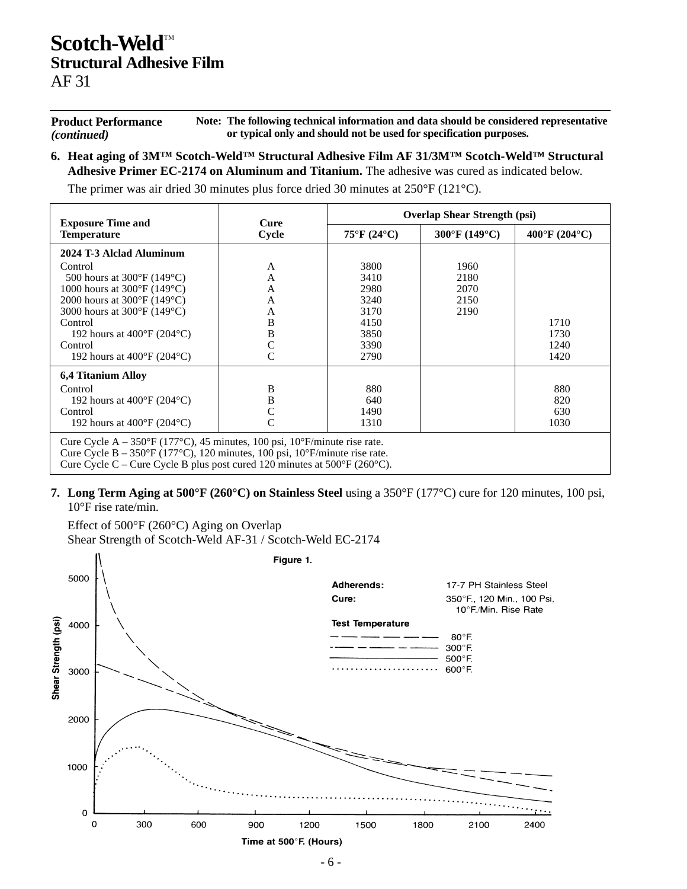**Product Performance** *(continued)* **Note: The following technical information and data should be considered representative or typical only and should not be used for specification purposes.**

**6. Heat aging of 3M™ Scotch-Weld™ Structural Adhesive Film AF 31/3M™ Scotch-Weld™ Structural Adhesive Primer EC-2174 on Aluminum and Titanium.** The adhesive was cured as indicated below.

The primer was air dried 30 minutes plus force dried 30 minutes at 250°F (121°C).

| <b>Exposure Time and</b>                                                                                                                                                                    | Cure  | <b>Overlap Shear Strength (psi)</b> |                                    |                                    |  |  |  |  |  |
|---------------------------------------------------------------------------------------------------------------------------------------------------------------------------------------------|-------|-------------------------------------|------------------------------------|------------------------------------|--|--|--|--|--|
| <b>Temperature</b>                                                                                                                                                                          | Cycle | $75^{\circ}F(24^{\circ}C)$          | $300^{\circ}$ F (149 $^{\circ}$ C) | $400^{\circ}$ F (204 $^{\circ}$ C) |  |  |  |  |  |
| 2024 T-3 Alclad Aluminum                                                                                                                                                                    |       |                                     |                                    |                                    |  |  |  |  |  |
| Control                                                                                                                                                                                     | A     | 3800                                | 1960                               |                                    |  |  |  |  |  |
| 500 hours at $300^{\circ}$ F (149 $^{\circ}$ C)                                                                                                                                             | A     | 3410                                | 2180                               |                                    |  |  |  |  |  |
| 1000 hours at $300^{\circ}$ F (149 $^{\circ}$ C)                                                                                                                                            | А     | 2980                                | 2070                               |                                    |  |  |  |  |  |
| 2000 hours at $300^{\circ}$ F (149 $^{\circ}$ C)                                                                                                                                            | A     | 3240                                | 2150                               |                                    |  |  |  |  |  |
| 3000 hours at 300°F (149°C)                                                                                                                                                                 | A     | 3170                                | 2190                               |                                    |  |  |  |  |  |
| Control                                                                                                                                                                                     | B     | 4150                                |                                    | 1710                               |  |  |  |  |  |
| 192 hours at $400^{\circ}$ F (204 $^{\circ}$ C)                                                                                                                                             | B     | 3850                                |                                    | 1730                               |  |  |  |  |  |
| Control                                                                                                                                                                                     |       | 3390                                |                                    | 1240                               |  |  |  |  |  |
| 192 hours at $400^{\circ}F(204^{\circ}C)$                                                                                                                                                   |       | 2790                                |                                    | 1420                               |  |  |  |  |  |
| <b>6.4 Titanium Alloy</b>                                                                                                                                                                   |       |                                     |                                    |                                    |  |  |  |  |  |
| Control                                                                                                                                                                                     | B     | 880                                 |                                    | 880                                |  |  |  |  |  |
| 192 hours at $400^{\circ}$ F (204 $^{\circ}$ C)                                                                                                                                             | B     | 640                                 |                                    | 820                                |  |  |  |  |  |
| Control                                                                                                                                                                                     |       | 1490                                |                                    | 630                                |  |  |  |  |  |
| 192 hours at $400^{\circ}$ F (204 $^{\circ}$ C)                                                                                                                                             |       | 1310                                |                                    | 1030                               |  |  |  |  |  |
| Cure Cycle A – 350°F (177°C), 45 minutes, 100 psi, 10°F/minute rise rate.<br>Cure Cycle B – $350^{\circ}$ F (177 <sup>o</sup> C), 120 minutes, 100 psi, 10 <sup>o</sup> F/minute rise rate. |       |                                     |                                    |                                    |  |  |  |  |  |

Cure Cycle C – Cure Cycle B plus post cured 120 minutes at  $500^{\circ}$ F (260 $^{\circ}$ C).

**7. Long Term Aging at 500°F (260°C) on Stainless Steel** using a 350°F (177°C) cure for 120 minutes, 100 psi,

10°F rise rate/min.

Effect of 500°F (260°C) Aging on Overlap Shear Strength of Scotch-Weld AF-31 / Scotch-Weld EC-2174

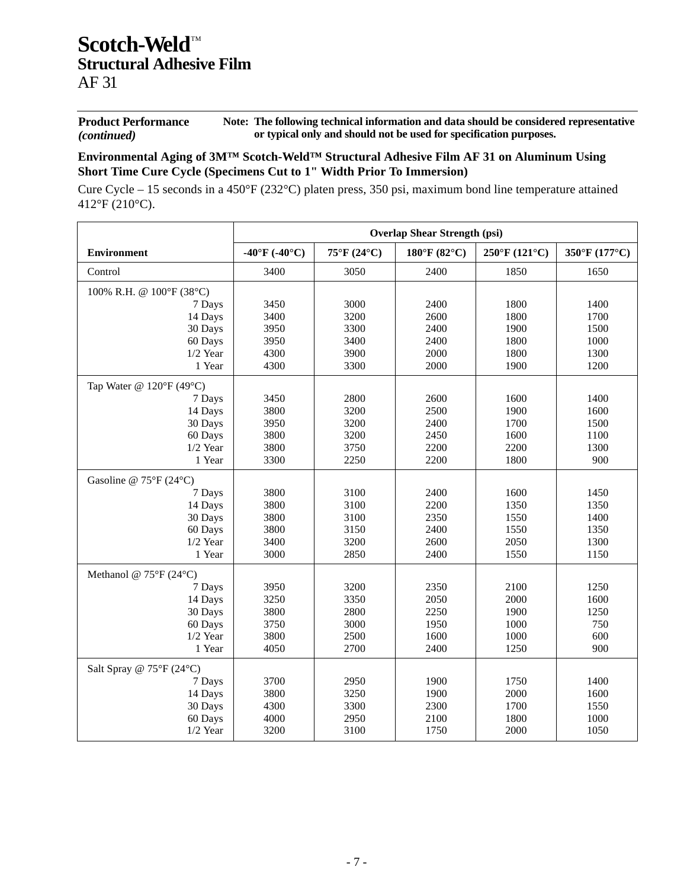**Product Performance** *(continued)* **Note: The following technical information and data should be considered representative or typical only and should not be used for specification purposes.**

### **Environmental Aging of 3M™ Scotch-Weld™ Structural Adhesive Film AF 31 on Aluminum Using Short Time Cure Cycle (Specimens Cut to 1" Width Prior To Immersion)**

Cure Cycle – 15 seconds in a 450°F (232°C) platen press, 350 psi, maximum bond line temperature attained 412°F (210°C).

|                                         | <b>Overlap Shear Strength (psi)</b> |             |                        |                              |               |  |  |  |
|-----------------------------------------|-------------------------------------|-------------|------------------------|------------------------------|---------------|--|--|--|
| <b>Environment</b>                      | -40°F (-40°C)                       | 75°F (24°C) | $180^{\circ}$ F (82°C) | $250^{\circ}F(121^{\circ}C)$ | 350°F (177°C) |  |  |  |
| Control                                 | 3400                                | 3050        | 2400                   | 1850                         | 1650          |  |  |  |
| 100% R.H. @ 100°F (38°C)                |                                     |             |                        |                              |               |  |  |  |
| 7 Days                                  | 3450                                | 3000        | 2400                   | 1800                         | 1400          |  |  |  |
| 14 Days                                 | 3400                                | 3200        | 2600                   | 1800                         | 1700          |  |  |  |
| 30 Days                                 | 3950                                | 3300        | 2400                   | 1900                         | 1500          |  |  |  |
| 60 Days                                 | 3950                                | 3400        | 2400                   | 1800                         | 1000          |  |  |  |
| $1/2$ Year                              | 4300                                | 3900        | 2000                   | 1800                         | 1300          |  |  |  |
| 1 Year                                  | 4300                                | 3300        | 2000                   | 1900                         | 1200          |  |  |  |
| Tap Water @ $120^{\circ}F(49^{\circ}C)$ |                                     |             |                        |                              |               |  |  |  |
| 7 Days                                  | 3450                                | 2800        | 2600                   | 1600                         | 1400          |  |  |  |
| 14 Days                                 | 3800                                | 3200        | 2500                   | 1900                         | 1600          |  |  |  |
| 30 Days                                 | 3950                                | 3200        | 2400                   | 1700                         | 1500          |  |  |  |
| 60 Days                                 | 3800                                | 3200        | 2450                   | 1600                         | 1100          |  |  |  |
| $1/2$ Year                              | 3800                                | 3750        | 2200                   | 2200                         | 1300          |  |  |  |
| 1 Year                                  | 3300                                | 2250        | 2200                   | 1800                         | 900           |  |  |  |
| Gasoline @ $75^{\circ}F(24^{\circ}C)$   |                                     |             |                        |                              |               |  |  |  |
| 7 Days                                  | 3800                                | 3100        | 2400                   | 1600                         | 1450          |  |  |  |
| 14 Days                                 | 3800                                | 3100        | 2200                   | 1350                         | 1350          |  |  |  |
| 30 Days                                 | 3800                                | 3100        | 2350                   | 1550                         | 1400          |  |  |  |
| 60 Days                                 | 3800                                | 3150        | 2400                   | 1550                         | 1350          |  |  |  |
| $1/2$ Year                              | 3400                                | 3200        | 2600                   | 2050                         | 1300          |  |  |  |
| 1 Year                                  | 3000                                | 2850        | 2400                   | 1550                         | 1150          |  |  |  |
| Methanol @ $75^{\circ}F(24^{\circ}C)$   |                                     |             |                        |                              |               |  |  |  |
| 7 Days                                  | 3950                                | 3200        | 2350                   | 2100                         | 1250          |  |  |  |
| 14 Days                                 | 3250                                | 3350        | 2050                   | 2000                         | 1600          |  |  |  |
| 30 Days                                 | 3800                                | 2800        | 2250                   | 1900                         | 1250          |  |  |  |
| 60 Days                                 | 3750                                | 3000        | 1950                   | 1000                         | 750           |  |  |  |
| $1/2$ Year                              | 3800                                | 2500        | 1600                   | 1000                         | 600           |  |  |  |
| 1 Year                                  | 4050                                | 2700        | 2400                   | 1250                         | 900           |  |  |  |
| Salt Spray @ 75°F (24°C)                |                                     |             |                        |                              |               |  |  |  |
| 7 Days                                  | 3700                                | 2950        | 1900                   | 1750                         | 1400          |  |  |  |
| 14 Days                                 | 3800                                | 3250        | 1900                   | 2000                         | 1600          |  |  |  |
| 30 Days                                 | 4300                                | 3300        | 2300                   | 1700                         | 1550          |  |  |  |
| 60 Days                                 | 4000                                | 2950        | 2100                   | 1800                         | 1000          |  |  |  |
| $1/2$ Year                              | 3200                                | 3100        | 1750                   | 2000                         | 1050          |  |  |  |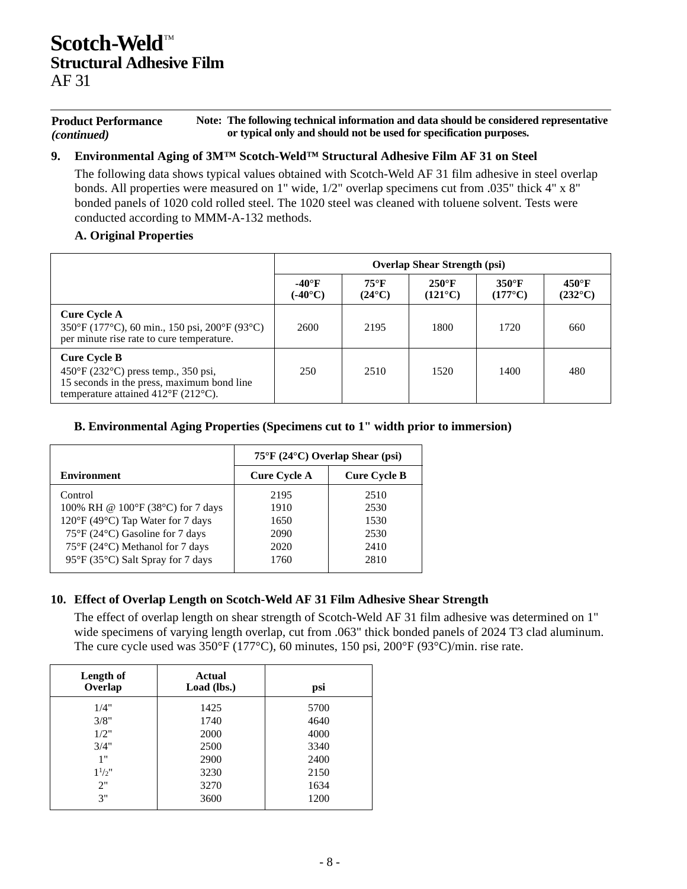#### **Product Performance** *(continued)* **Note: The following technical information and data should be considered representative or typical only and should not be used for specification purposes.**

#### **9. Environmental Aging of 3M™ Scotch-Weld™ Structural Adhesive Film AF 31 on Steel**

The following data shows typical values obtained with Scotch-Weld AF 31 film adhesive in steel overlap bonds. All properties were measured on 1" wide, 1/2" overlap specimens cut from .035" thick 4" x 8" bonded panels of 1020 cold rolled steel. The 1020 steel was cleaned with toluene solvent. Tests were conducted according to MMM-A-132 methods.

#### **A. Original Properties**

|                                                                                                                                                                 | <b>Overlap Shear Strength (psi)</b> |                                   |                                     |                                   |                                     |  |  |  |
|-----------------------------------------------------------------------------------------------------------------------------------------------------------------|-------------------------------------|-----------------------------------|-------------------------------------|-----------------------------------|-------------------------------------|--|--|--|
|                                                                                                                                                                 | $-40^\circ F$<br>$(-40^{\circ}C)$   | $75^{\circ}$ F<br>$(24^{\circ}C)$ | $250^{\circ}$ F<br>$(121^{\circ}C)$ | $350^\circ F$<br>$(177^{\circ}C)$ | $450^{\circ}$ F<br>$(232^{\circ}C)$ |  |  |  |
| <b>Cure Cycle A</b><br>350°F (177°C), 60 min., 150 psi, 200°F (93°C)<br>per minute rise rate to cure temperature.                                               | 2600                                | 2195                              | 1800                                | 1720                              | 660                                 |  |  |  |
| <b>Cure Cycle B</b><br>450°F (232°C) press temp., 350 psi,<br>15 seconds in the press, maximum bond line<br>temperature attained $412^{\circ}F(212^{\circ}C)$ . | 250                                 | 2510                              | 1520                                | 1400                              | 480                                 |  |  |  |

#### **B. Environmental Aging Properties (Specimens cut to 1" width prior to immersion)**

|                                   | $75^{\circ}$ F (24 $^{\circ}$ C) Overlap Shear (psi) |                     |  |
|-----------------------------------|------------------------------------------------------|---------------------|--|
| <b>Environment</b>                | <b>Cure Cycle A</b>                                  | <b>Cure Cycle B</b> |  |
| Control                           | 2195                                                 | 2510                |  |
| 100% RH @ 100°F (38°C) for 7 days | 1910                                                 | 2530                |  |
| 120°F (49°C) Tap Water for 7 days | 1650                                                 | 1530                |  |
| 75°F (24°C) Gasoline for 7 days   | 2090                                                 | 2530                |  |
| 75°F (24°C) Methanol for 7 days   | 2020                                                 | 2410                |  |
| 95°F (35°C) Salt Spray for 7 days | 1760                                                 | 2810                |  |

### **10. Effect of Overlap Length on Scotch-Weld AF 31 Film Adhesive Shear Strength**

The effect of overlap length on shear strength of Scotch-Weld AF 31 film adhesive was determined on 1" wide specimens of varying length overlap, cut from .063" thick bonded panels of 2024 T3 clad aluminum. The cure cycle used was 350°F (177°C), 60 minutes, 150 psi, 200°F (93°C)/min. rise rate.

| Length of<br>Overlap | Actual<br>Load (lbs.) | psi  |
|----------------------|-----------------------|------|
| 1/4"                 | 1425                  | 5700 |
| 3/8"                 | 1740                  | 4640 |
| 1/2"                 | 2000                  | 4000 |
| 3/4"                 | 2500                  | 3340 |
| 1"                   | 2900                  | 2400 |
| $1^{1/2}$ "          | 3230                  | 2150 |
| 2"                   | 3270                  | 1634 |
| 3"                   | 3600                  | 1200 |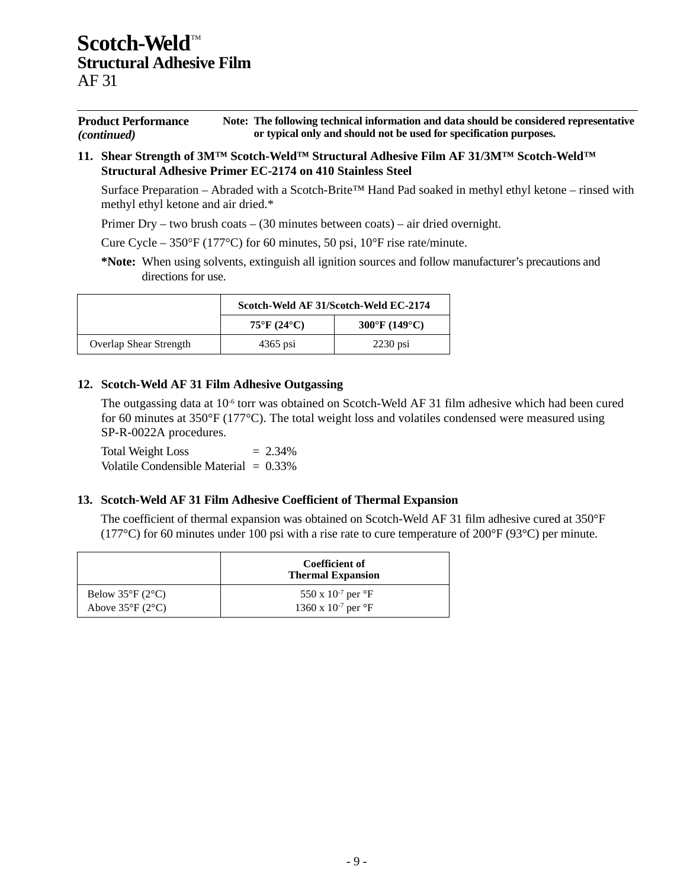| <b>Product Performance</b> | Note: The following technical information and data should be considered representative |
|----------------------------|----------------------------------------------------------------------------------------|
| <i>(continued)</i>         | or typical only and should not be used for specification purposes.                     |

**11. Shear Strength of 3M™ Scotch-Weld™ Structural Adhesive Film AF 31/3M™ Scotch-Weld™ Structural Adhesive Primer EC-2174 on 410 Stainless Steel**

Surface Preparation – Abraded with a Scotch-Brite™ Hand Pad soaked in methyl ethyl ketone – rinsed with methyl ethyl ketone and air dried.\*

Primer Dry – two brush coats – (30 minutes between coats) – air dried overnight.

Cure Cycle –  $350^{\circ}F(177^{\circ}C)$  for 60 minutes, 50 psi, 10°F rise rate/minute.

**\*Note:** When using solvents, extinguish all ignition sources and follow manufacturer's precautions and directions for use.

|                               | Scotch-Weld AF 31/Scotch-Weld EC-2174 |               |  |
|-------------------------------|---------------------------------------|---------------|--|
|                               | $75^{\circ}$ F (24 $^{\circ}$ C)      | 300°F (149°C) |  |
| <b>Overlap Shear Strength</b> | $4365$ psi                            | $2230$ psi    |  |

#### **12. Scotch-Weld AF 31 Film Adhesive Outgassing**

The outgassing data at 10<sup>-6</sup> torr was obtained on Scotch-Weld AF 31 film adhesive which had been cured for 60 minutes at 350°F (177°C). The total weight loss and volatiles condensed were measured using SP-R-0022A procedures.

Total Weight Loss  $= 2.34\%$ Volatile Condensible Material = 0.33%

### **13. Scotch-Weld AF 31 Film Adhesive Coefficient of Thermal Expansion**

The coefficient of thermal expansion was obtained on Scotch-Weld AF 31 film adhesive cured at 350°F (177 $^{\circ}$ C) for 60 minutes under 100 psi with a rise rate to cure temperature of 200 $^{\circ}$ F (93 $^{\circ}$ C) per minute.

|                                 | Coefficient of<br><b>Thermal Expansion</b> |
|---------------------------------|--------------------------------------------|
| Below $35^{\circ}F(2^{\circ}C)$ | 550 x $10^{-7}$ per $\mathrm{^{\circ}F}$   |
| Above $35^{\circ}F(2^{\circ}C)$ | 1360 x $10^{-7}$ per $\mathrm{P}$ F        |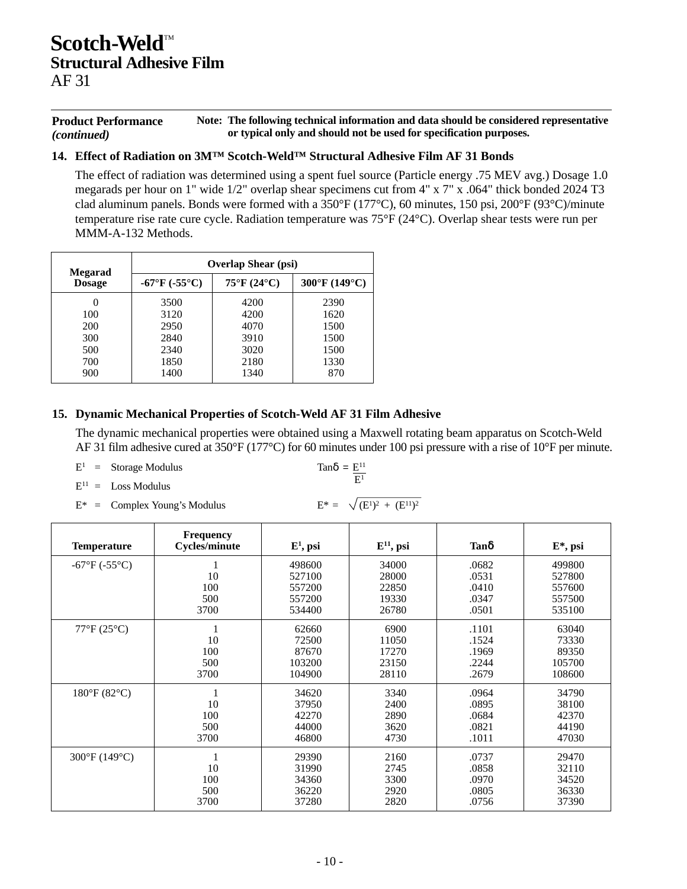#### **Product Performance** *(continued)* **Note: The following technical information and data should be considered representative or typical only and should not be used for specification purposes.**

### **14. Effect of Radiation on 3M™ Scotch-Weld™ Structural Adhesive Film AF 31 Bonds**

The effect of radiation was determined using a spent fuel source (Particle energy .75 MEV avg.) Dosage 1.0 megarads per hour on 1" wide 1/2" overlap shear specimens cut from 4" x 7" x .064" thick bonded 2024 T3 clad aluminum panels. Bonds were formed with a 350°F (177°C), 60 minutes, 150 psi, 200°F (93°C)/minute temperature rise rate cure cycle. Radiation temperature was 75°F (24°C). Overlap shear tests were run per MMM-A-132 Methods.

| Megarad       | <b>Overlap Shear (psi)</b>    |                                  |               |  |
|---------------|-------------------------------|----------------------------------|---------------|--|
| <b>Dosage</b> | $-67^{\circ}F (-55^{\circ}C)$ | $75^{\circ}$ F (24 $^{\circ}$ C) | 300°F (149°C) |  |
| $\theta$      | 3500                          | 4200                             | 2390          |  |
| 100           | 3120                          | 4200                             | 1620          |  |
| 200           | 2950                          | 4070                             | 1500          |  |
| 300           | 2840                          | 3910                             | 1500          |  |
| 500           | 2340                          | 3020                             | 1500          |  |
| 700           | 1850                          | 2180                             | 1330          |  |
| 900           | 1400                          | 1340                             | 870           |  |

#### **15. Dynamic Mechanical Properties of Scotch-Weld AF 31 Film Adhesive**

The dynamic mechanical properties were obtained using a Maxwell rotating beam apparatus on Scotch-Weld AF 31 film adhesive cured at 350°F (177°C) for 60 minutes under 100 psi pressure with a rise of 10°F per minute.

 $E^1$  = Storage Modulus

$$
\text{Tan}\delta = \frac{E^{11}}{E^1}
$$

 $E^{11}$  = Loss Modulus

 $E^*$  = Complex Young's Modulus

$$
E^* = \sqrt{(E^1)^2 + (E^{11})^2}
$$

| <b>Temperature</b>            | <b>Frequency</b><br><b>Cycles/minute</b> | $E^1$ , psi | $E^{11}$ , psi | Tanδ  | $E^*$ , psi |
|-------------------------------|------------------------------------------|-------------|----------------|-------|-------------|
| $-67^{\circ}F (-55^{\circ}C)$ |                                          | 498600      | 34000          | .0682 | 499800      |
|                               | 10                                       | 527100      | 28000          | .0531 | 527800      |
|                               | 100                                      | 557200      | 22850          | .0410 | 557600      |
|                               | 500                                      | 557200      | 19330          | .0347 | 557500      |
|                               | 3700                                     | 534400      | 26780          | .0501 | 535100      |
| $77^{\circ}F(25^{\circ}C)$    |                                          | 62660       | 6900           | .1101 | 63040       |
|                               | 10                                       | 72500       | 11050          | .1524 | 73330       |
|                               | 100                                      | 87670       | 17270          | .1969 | 89350       |
|                               | 500                                      | 103200      | 23150          | .2244 | 105700      |
|                               | 3700                                     | 104900      | 28110          | .2679 | 108600      |
| $180^{\circ}F(82^{\circ}C)$   |                                          | 34620       | 3340           | .0964 | 34790       |
|                               | 10                                       | 37950       | 2400           | .0895 | 38100       |
|                               | 100                                      | 42270       | 2890           | .0684 | 42370       |
|                               | 500                                      | 44000       | 3620           | .0821 | 44190       |
|                               | 3700                                     | 46800       | 4730           | .1011 | 47030       |
| $300^{\circ}F(149^{\circ}C)$  |                                          | 29390       | 2160           | .0737 | 29470       |
|                               | 10                                       | 31990       | 2745           | .0858 | 32110       |
|                               | 100                                      | 34360       | 3300           | .0970 | 34520       |
|                               | 500                                      | 36220       | 2920           | .0805 | 36330       |
|                               | 3700                                     | 37280       | 2820           | .0756 | 37390       |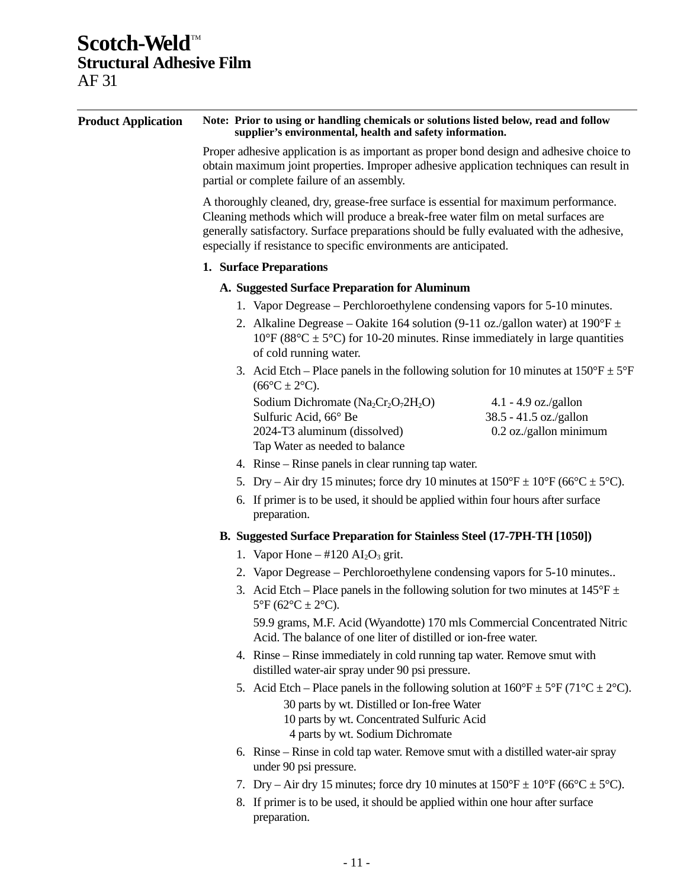| <b>Product Application</b> | Note: Prior to using or handling chemicals or solutions listed below, read and follow<br>supplier's environmental, health and safety information.                                                                                                                                                                                            |  |  |  |  |
|----------------------------|----------------------------------------------------------------------------------------------------------------------------------------------------------------------------------------------------------------------------------------------------------------------------------------------------------------------------------------------|--|--|--|--|
|                            | Proper adhesive application is as important as proper bond design and adhesive choice to<br>obtain maximum joint properties. Improper adhesive application techniques can result in<br>partial or complete failure of an assembly.                                                                                                           |  |  |  |  |
|                            | A thoroughly cleaned, dry, grease-free surface is essential for maximum performance.<br>Cleaning methods which will produce a break-free water film on metal surfaces are<br>generally satisfactory. Surface preparations should be fully evaluated with the adhesive,<br>especially if resistance to specific environments are anticipated. |  |  |  |  |
|                            | 1. Surface Preparations                                                                                                                                                                                                                                                                                                                      |  |  |  |  |
|                            | A. Suggested Surface Preparation for Aluminum                                                                                                                                                                                                                                                                                                |  |  |  |  |
|                            | 1. Vapor Degrease – Perchloroethylene condensing vapors for 5-10 minutes.                                                                                                                                                                                                                                                                    |  |  |  |  |
|                            | 2. Alkaline Degrease – Oakite 164 solution (9-11 oz./gallon water) at $190^{\circ}F \pm$<br>$10^{\circ}$ F (88 $^{\circ}$ C ± 5 $^{\circ}$ C) for 10-20 minutes. Rinse immediately in large quantities<br>of cold running water.                                                                                                             |  |  |  |  |
|                            | 3. Acid Etch – Place panels in the following solution for 10 minutes at $150^{\circ}F \pm 5^{\circ}F$<br>$(66^{\circ}C \pm 2^{\circ}C).$                                                                                                                                                                                                     |  |  |  |  |
|                            | Sodium Dichromate $(Na_2Cr_2O_72H_2O)$<br>$4.1 - 4.9$ oz./gallon<br>38.5 - 41.5 oz./gallon<br>Sulfuric Acid, 66° Be<br>0.2 oz./gallon minimum<br>2024-T3 aluminum (dissolved)<br>Tap Water as needed to balance                                                                                                                              |  |  |  |  |
|                            | 4. Rinse – Rinse panels in clear running tap water.                                                                                                                                                                                                                                                                                          |  |  |  |  |
|                            | 5. Dry – Air dry 15 minutes; force dry 10 minutes at $150^{\circ}F \pm 10^{\circ}F$ (66 $^{\circ}C \pm 5^{\circ}C$ ).                                                                                                                                                                                                                        |  |  |  |  |
|                            | 6. If primer is to be used, it should be applied within four hours after surface<br>preparation.                                                                                                                                                                                                                                             |  |  |  |  |
|                            | B. Suggested Surface Preparation for Stainless Steel (17-7PH-TH [1050])                                                                                                                                                                                                                                                                      |  |  |  |  |
|                            | 1. Vapor Hone $-$ #120 AI <sub>2</sub> O <sub>3</sub> grit.                                                                                                                                                                                                                                                                                  |  |  |  |  |
|                            | 2. Vapor Degrease – Perchloroethylene condensing vapors for 5-10 minutes                                                                                                                                                                                                                                                                     |  |  |  |  |
|                            | 3. Acid Etch – Place panels in the following solution for two minutes at $145^{\circ}F \pm$<br>$5^{\circ}F (62^{\circ}C \pm 2^{\circ}C).$                                                                                                                                                                                                    |  |  |  |  |
|                            | 59.9 grams, M.F. Acid (Wyandotte) 170 mls Commercial Concentrated Nitric<br>Acid. The balance of one liter of distilled or ion-free water.                                                                                                                                                                                                   |  |  |  |  |
|                            | 4. Rinse – Rinse immediately in cold running tap water. Remove smut with<br>distilled water-air spray under 90 psi pressure.                                                                                                                                                                                                                 |  |  |  |  |
|                            | 5. Acid Etch – Place panels in the following solution at $160^{\circ}F \pm 5^{\circ}F (71^{\circ}C \pm 2^{\circ}C)$ .<br>30 parts by wt. Distilled or Ion-free Water<br>10 parts by wt. Concentrated Sulfuric Acid<br>4 parts by wt. Sodium Dichromate                                                                                       |  |  |  |  |
|                            | 6. Rinse – Rinse in cold tap water. Remove smut with a distilled water-air spray<br>under 90 psi pressure.                                                                                                                                                                                                                                   |  |  |  |  |
|                            |                                                                                                                                                                                                                                                                                                                                              |  |  |  |  |

- 7. Dry Air dry 15 minutes; force dry 10 minutes at  $150^{\circ}F \pm 10^{\circ}F$  (66°C  $\pm$  5°C).
- 8. If primer is to be used, it should be applied within one hour after surface preparation.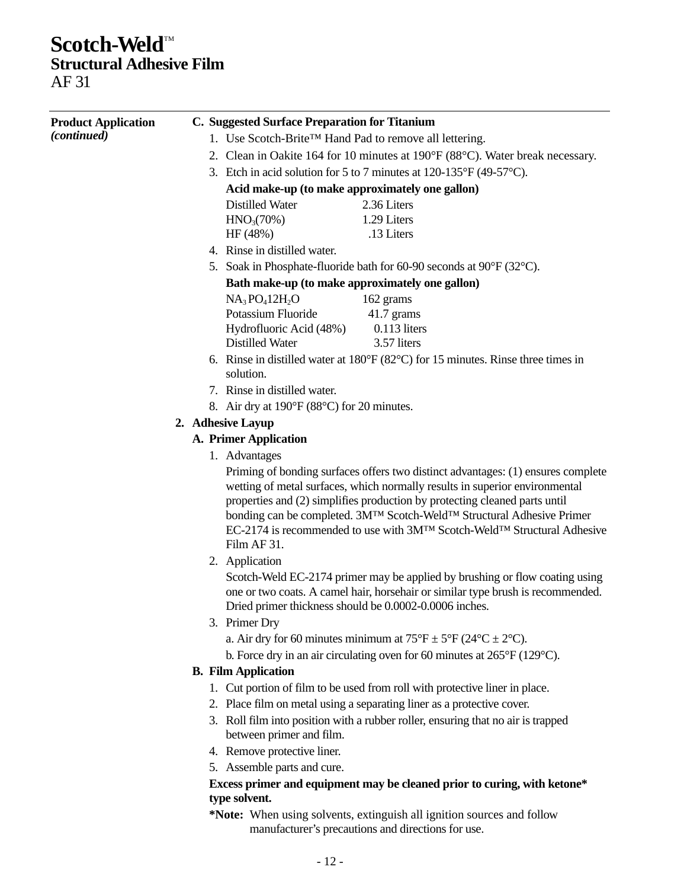# **Scotch-Weld™**

**Structural Adhesive Film**

AF 31

| <b>Product Application</b> |  | C. Suggested Surface Preparation for Titanium                                                                                                                                                                                                                                                                                                          |
|----------------------------|--|--------------------------------------------------------------------------------------------------------------------------------------------------------------------------------------------------------------------------------------------------------------------------------------------------------------------------------------------------------|
| <i>(continued)</i>         |  | 1. Use Scotch-Brite™ Hand Pad to remove all lettering.                                                                                                                                                                                                                                                                                                 |
|                            |  | 2. Clean in Oakite 164 for 10 minutes at 190°F (88°C). Water break necessary.                                                                                                                                                                                                                                                                          |
|                            |  | 3. Etch in acid solution for 5 to 7 minutes at $120-135^{\circ}F(49-57^{\circ}C)$ .                                                                                                                                                                                                                                                                    |
|                            |  | Acid make-up (to make approximately one gallon)                                                                                                                                                                                                                                                                                                        |
|                            |  | <b>Distilled Water</b><br>2.36 Liters                                                                                                                                                                                                                                                                                                                  |
|                            |  | 1.29 Liters<br>HNO <sub>3</sub> (70%)                                                                                                                                                                                                                                                                                                                  |
|                            |  | .13 Liters<br>HF (48%)                                                                                                                                                                                                                                                                                                                                 |
|                            |  | 4. Rinse in distilled water.                                                                                                                                                                                                                                                                                                                           |
|                            |  | 5. Soak in Phosphate-fluoride bath for 60-90 seconds at $90^{\circ}F(32^{\circ}C)$ .                                                                                                                                                                                                                                                                   |
|                            |  | Bath make-up (to make approximately one gallon)                                                                                                                                                                                                                                                                                                        |
|                            |  | $NA3PO412H2O$<br>162 grams                                                                                                                                                                                                                                                                                                                             |
|                            |  | Potassium Fluoride<br>$41.7$ grams                                                                                                                                                                                                                                                                                                                     |
|                            |  | $0.113$ liters<br>Hydrofluoric Acid (48%)                                                                                                                                                                                                                                                                                                              |
|                            |  | <b>Distilled Water</b><br>3.57 liters                                                                                                                                                                                                                                                                                                                  |
|                            |  | 6. Rinse in distilled water at $180^{\circ}F(82^{\circ}C)$ for 15 minutes. Rinse three times in<br>solution.                                                                                                                                                                                                                                           |
|                            |  | 7. Rinse in distilled water.                                                                                                                                                                                                                                                                                                                           |
|                            |  | 8. Air dry at $190^{\circ}$ F (88 $^{\circ}$ C) for 20 minutes.                                                                                                                                                                                                                                                                                        |
|                            |  | 2. Adhesive Layup                                                                                                                                                                                                                                                                                                                                      |
|                            |  | <b>A. Primer Application</b>                                                                                                                                                                                                                                                                                                                           |
|                            |  | 1. Advantages                                                                                                                                                                                                                                                                                                                                          |
|                            |  | Priming of bonding surfaces offers two distinct advantages: (1) ensures complete                                                                                                                                                                                                                                                                       |
|                            |  | wetting of metal surfaces, which normally results in superior environmental<br>properties and (2) simplifies production by protecting cleaned parts until<br>bonding can be completed. 3M <sup>TM</sup> Scotch-Weld <sup>TM</sup> Structural Adhesive Primer<br>EC-2174 is recommended to use with 3M™ Scotch-Weld™ Structural Adhesive<br>Film AF 31. |
|                            |  | 2. Application                                                                                                                                                                                                                                                                                                                                         |
|                            |  | Scotch-Weld EC-2174 primer may be applied by brushing or flow coating using<br>one or two coats. A camel hair, horsehair or similar type brush is recommended.<br>Dried primer thickness should be 0.0002-0.0006 inches.                                                                                                                               |
|                            |  | 3. Primer Dry                                                                                                                                                                                                                                                                                                                                          |
|                            |  | a. Air dry for 60 minutes minimum at $75^{\circ}F \pm 5^{\circ}F (24^{\circ}C \pm 2^{\circ}C)$ .                                                                                                                                                                                                                                                       |
|                            |  | b. Force dry in an air circulating oven for 60 minutes at $265^{\circ}F(129^{\circ}C)$ .                                                                                                                                                                                                                                                               |
|                            |  | <b>B.</b> Film Application                                                                                                                                                                                                                                                                                                                             |
|                            |  | 1. Cut portion of film to be used from roll with protective liner in place.                                                                                                                                                                                                                                                                            |
|                            |  | 2. Place film on metal using a separating liner as a protective cover.                                                                                                                                                                                                                                                                                 |
|                            |  | 3. Roll film into position with a rubber roller, ensuring that no air is trapped<br>between primer and film.                                                                                                                                                                                                                                           |
|                            |  | 4. Remove protective liner.                                                                                                                                                                                                                                                                                                                            |
|                            |  | 5. Assemble parts and cure.                                                                                                                                                                                                                                                                                                                            |
|                            |  | Excess primer and equipment may be cleaned prior to curing, with ketone*                                                                                                                                                                                                                                                                               |
|                            |  | type solvent.                                                                                                                                                                                                                                                                                                                                          |
|                            |  | *Note: When using solvents, extinguish all ignition sources and follow<br>manufacturer's precautions and directions for use.                                                                                                                                                                                                                           |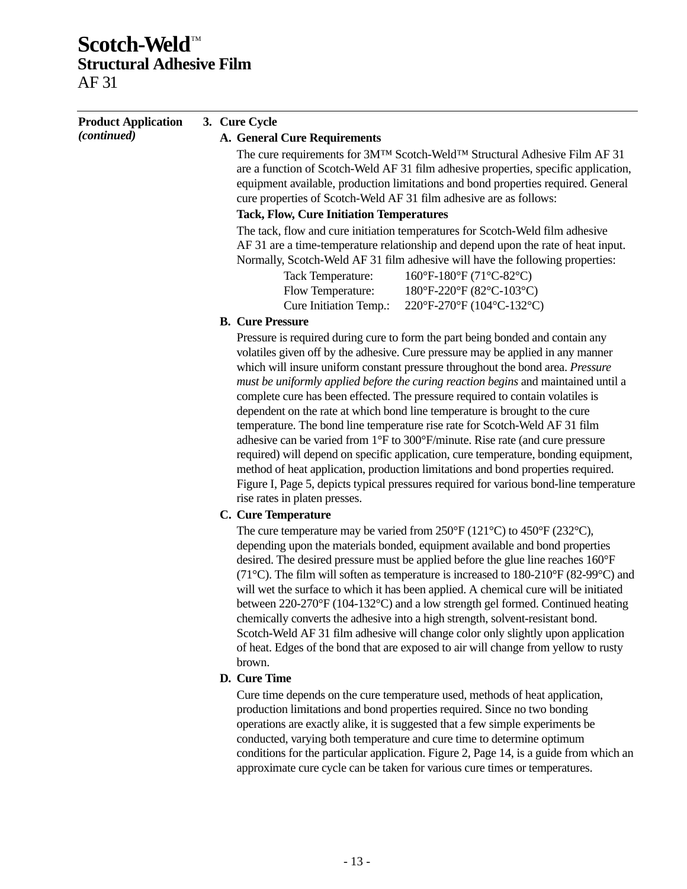| <b>Product Application</b> | 3. Cure Cycle                                                                                                                                                                                                                                                                                                                                                                                                                                                                                                                                                                                                                                                                                                                                                                                                                                                                                                                                                                    |
|----------------------------|----------------------------------------------------------------------------------------------------------------------------------------------------------------------------------------------------------------------------------------------------------------------------------------------------------------------------------------------------------------------------------------------------------------------------------------------------------------------------------------------------------------------------------------------------------------------------------------------------------------------------------------------------------------------------------------------------------------------------------------------------------------------------------------------------------------------------------------------------------------------------------------------------------------------------------------------------------------------------------|
| (continued)                | <b>A. General Cure Requirements</b>                                                                                                                                                                                                                                                                                                                                                                                                                                                                                                                                                                                                                                                                                                                                                                                                                                                                                                                                              |
|                            | The cure requirements for 3MTM Scotch-WeldTM Structural Adhesive Film AF 31<br>are a function of Scotch-Weld AF 31 film adhesive properties, specific application,<br>equipment available, production limitations and bond properties required. General<br>cure properties of Scotch-Weld AF 31 film adhesive are as follows:                                                                                                                                                                                                                                                                                                                                                                                                                                                                                                                                                                                                                                                    |
|                            | <b>Tack, Flow, Cure Initiation Temperatures</b>                                                                                                                                                                                                                                                                                                                                                                                                                                                                                                                                                                                                                                                                                                                                                                                                                                                                                                                                  |
|                            | The tack, flow and cure initiation temperatures for Scotch-Weld film adhesive<br>AF 31 are a time-temperature relationship and depend upon the rate of heat input.<br>Normally, Scotch-Weld AF 31 film adhesive will have the following properties:<br>160°F-180°F (71°C-82°C)<br><b>Tack Temperature:</b>                                                                                                                                                                                                                                                                                                                                                                                                                                                                                                                                                                                                                                                                       |
|                            |                                                                                                                                                                                                                                                                                                                                                                                                                                                                                                                                                                                                                                                                                                                                                                                                                                                                                                                                                                                  |
|                            | Flow Temperature:<br>$180^{\circ}F - 220^{\circ}F (82^{\circ}C - 103^{\circ}C)$                                                                                                                                                                                                                                                                                                                                                                                                                                                                                                                                                                                                                                                                                                                                                                                                                                                                                                  |
|                            | Cure Initiation Temp.:<br>220°F-270°F (104°C-132°C)                                                                                                                                                                                                                                                                                                                                                                                                                                                                                                                                                                                                                                                                                                                                                                                                                                                                                                                              |
|                            | <b>B.</b> Cure Pressure                                                                                                                                                                                                                                                                                                                                                                                                                                                                                                                                                                                                                                                                                                                                                                                                                                                                                                                                                          |
|                            | Pressure is required during cure to form the part being bonded and contain any<br>volatiles given off by the adhesive. Cure pressure may be applied in any manner<br>which will insure uniform constant pressure throughout the bond area. Pressure<br>must be uniformly applied before the curing reaction begins and maintained until a<br>complete cure has been effected. The pressure required to contain volatiles is<br>dependent on the rate at which bond line temperature is brought to the cure<br>temperature. The bond line temperature rise rate for Scotch-Weld AF 31 film<br>adhesive can be varied from 1°F to 300°F/minute. Rise rate (and cure pressure<br>required) will depend on specific application, cure temperature, bonding equipment,<br>method of heat application, production limitations and bond properties required.<br>Figure I, Page 5, depicts typical pressures required for various bond-line temperature<br>rise rates in platen presses. |
|                            | <b>C.</b> Cure Temperature                                                                                                                                                                                                                                                                                                                                                                                                                                                                                                                                                                                                                                                                                                                                                                                                                                                                                                                                                       |
|                            | The cure temperature may be varied from $250^{\circ}F(121^{\circ}C)$ to $450^{\circ}F(232^{\circ}C)$ ,<br>depending upon the materials bonded, equipment available and bond properties<br>desired. The desired pressure must be applied before the glue line reaches 160°F<br>(71 °C). The film will soften as temperature is increased to 180-210 °F (82-99 °C) and<br>will wet the surface to which it has been applied. A chemical cure will be initiated<br>between 220-270°F (104-132°C) and a low strength gel formed. Continued heating<br>chemically converts the adhesive into a high strength, solvent-resistant bond.<br>Scotch-Weld AF 31 film adhesive will change color only slightly upon application<br>of heat. Edges of the bond that are exposed to air will change from yellow to rusty<br>brown.                                                                                                                                                            |
|                            | D. Cure Time                                                                                                                                                                                                                                                                                                                                                                                                                                                                                                                                                                                                                                                                                                                                                                                                                                                                                                                                                                     |
|                            | Cure time depends on the cure temperature used, methods of heat application,<br>production limitations and bond properties required. Since no two bonding<br>operations are exactly alike, it is suggested that a few simple experiments be<br>conducted, varying both temperature and cure time to determine optimum                                                                                                                                                                                                                                                                                                                                                                                                                                                                                                                                                                                                                                                            |

conditions for the particular application. Figure 2, Page 14, is a guide from which an

approximate cure cycle can be taken for various cure times or temperatures.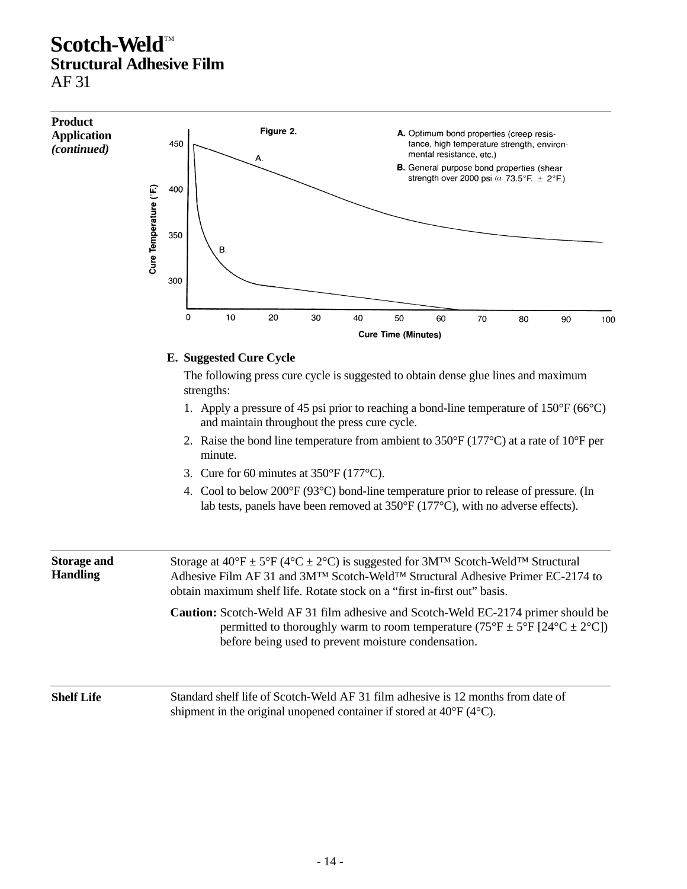

**Shelf Life** Standard shelf life of Scotch-Weld AF 31 film adhesive is 12 months from date of shipment in the original unopened container if stored at 40°F (4°C).